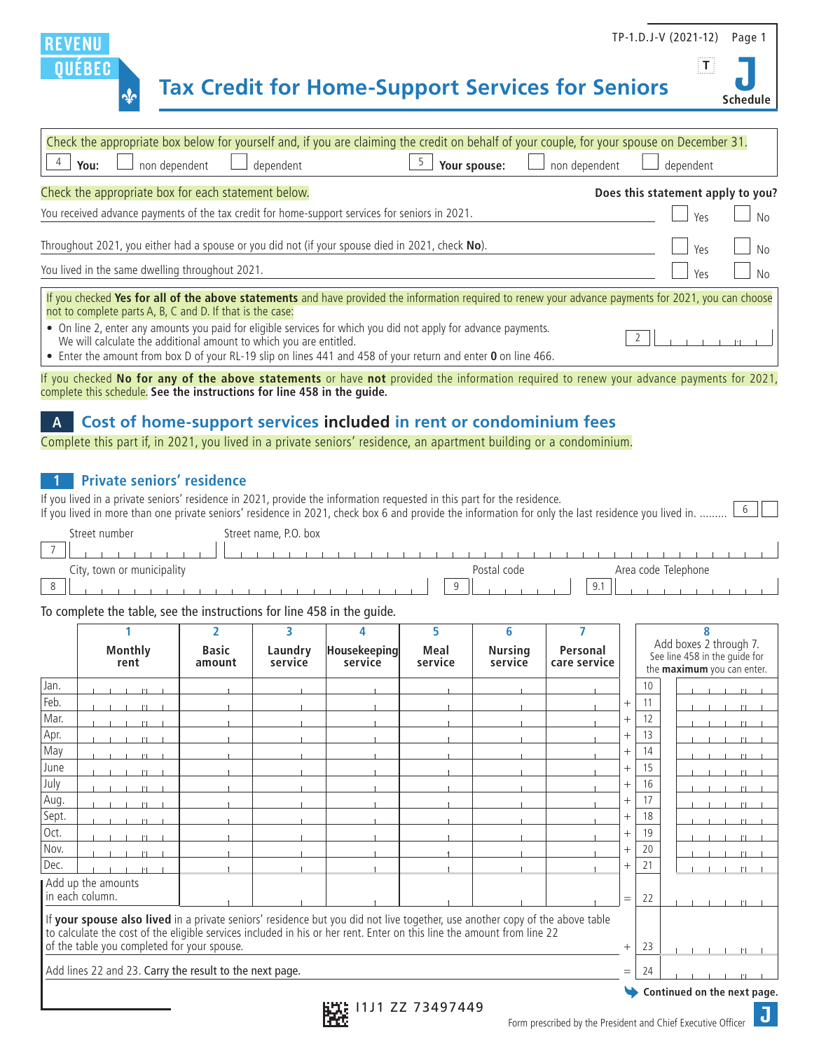#### TP-1.D.J-V (2021-12) Page 1 REVENL **T OUEBEC Tax Credit for Home-Support Services for Seniors Schedule**

| Check the appropriate box below for yourself and, if you are claiming the credit on behalf of your couple, for your spouse on December 31.<br>$\Box$ Your spouse: $\Box$ non dependent<br>$\perp$ non dependent<br>dependent<br>You:                                                                   | dependent                         |  |  |  |  |  |
|--------------------------------------------------------------------------------------------------------------------------------------------------------------------------------------------------------------------------------------------------------------------------------------------------------|-----------------------------------|--|--|--|--|--|
| Check the appropriate box for each statement below.                                                                                                                                                                                                                                                    | Does this statement apply to you? |  |  |  |  |  |
| You received advance payments of the tax credit for home-support services for seniors in 2021.                                                                                                                                                                                                         |                                   |  |  |  |  |  |
| Throughout 2021, you either had a spouse or you did not (if your spouse died in 2021, check No).<br>You lived in the same dwelling throughout 2021.                                                                                                                                                    | Yes<br>Ύρς                        |  |  |  |  |  |
| If you checked Yes for all of the above statements and have provided the information required to renew your advance payments for 2021, you can choose<br>not to complete parts A, B, C and D. If that is the case:                                                                                     |                                   |  |  |  |  |  |
| • On line 2, enter any amounts you paid for eligible services for which you did not apply for advance payments.<br>We will calculate the additional amount to which you are entitled.<br>• Enter the amount from box D of your RL-19 slip on lines 441 and 458 of your return and enter 0 on line 466. |                                   |  |  |  |  |  |

If you checked **No for any of the above statements** or have **not** provided the information required to renew your advance payments for 2021, complete this schedule. **See the instructions for line 458 in the guide.**

### **A Cost of home-support services included in rent or condominium fees**

Complete this part if, in 2021, you lived in a private seniors' residence, an apartment building or a condominium.

### **1 Private seniors' residence**

If you lived in a private seniors' residence in 2021, provide the information requested in this part for the residence. If you lived in more than one private seniors' residence in 2021, check box 6 and provide the information for only the last residence you lived in. ......... [6]

| u number .<br>streef       | Street name, P.O. box              |
|----------------------------|------------------------------------|
| $\overline{\phantom{a}}$   |                                    |
| City, town or municipality | Area code Telephone<br>Postal code |
| $\Omega$                   | 9.1<br>$\alpha$                    |

#### To complete the table, see the instructions for line 458 in the guide.

|                                                                                                                                                                                                                                                                                                       |                                       | $\overline{\phantom{a}}$ | ٦                  |                         | 5               | 6                         |                          |        |                                                                                       |  |
|-------------------------------------------------------------------------------------------------------------------------------------------------------------------------------------------------------------------------------------------------------------------------------------------------------|---------------------------------------|--------------------------|--------------------|-------------------------|-----------------|---------------------------|--------------------------|--------|---------------------------------------------------------------------------------------|--|
|                                                                                                                                                                                                                                                                                                       | Monthly<br>rent                       | <b>Basic</b><br>amount   | Laundry<br>service | Housekeeping<br>service | Meal<br>service | <b>Nursing</b><br>service | Personal<br>care service |        | Add boxes 2 through 7.<br>See line 458 in the guide for<br>the maximum you can enter. |  |
| Jan.                                                                                                                                                                                                                                                                                                  |                                       |                          |                    |                         |                 |                           |                          |        | 10                                                                                    |  |
| Feb.                                                                                                                                                                                                                                                                                                  |                                       |                          |                    |                         |                 |                           |                          | $^{+}$ | 11                                                                                    |  |
| Mar.                                                                                                                                                                                                                                                                                                  |                                       |                          |                    |                         |                 |                           |                          | $^{+}$ | 12                                                                                    |  |
| Apr.                                                                                                                                                                                                                                                                                                  |                                       |                          |                    |                         |                 |                           |                          | $^{+}$ | 13                                                                                    |  |
| May                                                                                                                                                                                                                                                                                                   |                                       |                          |                    |                         |                 |                           |                          | $^{+}$ | 14                                                                                    |  |
| June                                                                                                                                                                                                                                                                                                  |                                       |                          |                    |                         |                 |                           |                          | $^{+}$ | 15                                                                                    |  |
| July                                                                                                                                                                                                                                                                                                  |                                       |                          |                    |                         |                 |                           |                          | $^{+}$ | 16                                                                                    |  |
| Aug.                                                                                                                                                                                                                                                                                                  |                                       |                          |                    |                         |                 |                           |                          | $^{+}$ | 17                                                                                    |  |
| Sept.                                                                                                                                                                                                                                                                                                 | $\left  \cdot \right $                |                          |                    |                         |                 |                           |                          | $^{+}$ | 18                                                                                    |  |
| Oct.                                                                                                                                                                                                                                                                                                  |                                       |                          |                    |                         |                 |                           |                          | $^{+}$ | 19                                                                                    |  |
| Nov.                                                                                                                                                                                                                                                                                                  |                                       |                          |                    |                         |                 |                           |                          | $^{+}$ | 20                                                                                    |  |
| Dec.                                                                                                                                                                                                                                                                                                  |                                       |                          |                    |                         |                 |                           |                          |        | 21                                                                                    |  |
|                                                                                                                                                                                                                                                                                                       | Add up the amounts<br>in each column. |                          |                    |                         |                 |                           |                          | $=$    | 22                                                                                    |  |
| If your spouse also lived in a private seniors' residence but you did not live together, use another copy of the above table<br>to calculate the cost of the eligible services included in his or her rent. Enter on this line the amount from line 22<br>of the table you completed for your spouse. |                                       |                          |                    |                         |                 |                           | $^{+}$                   | 23     |                                                                                       |  |
|                                                                                                                                                                                                                                                                                                       |                                       |                          |                    |                         |                 |                           |                          |        |                                                                                       |  |
| Add lines 22 and 23. Carry the result to the next page.                                                                                                                                                                                                                                               |                                       |                          |                    |                         |                 | $=$                       | 24                       |        |                                                                                       |  |
|                                                                                                                                                                                                                                                                                                       | Continued on the next nage            |                          |                    |                         |                 |                           |                          |        |                                                                                       |  |

**Continued on the next page.**